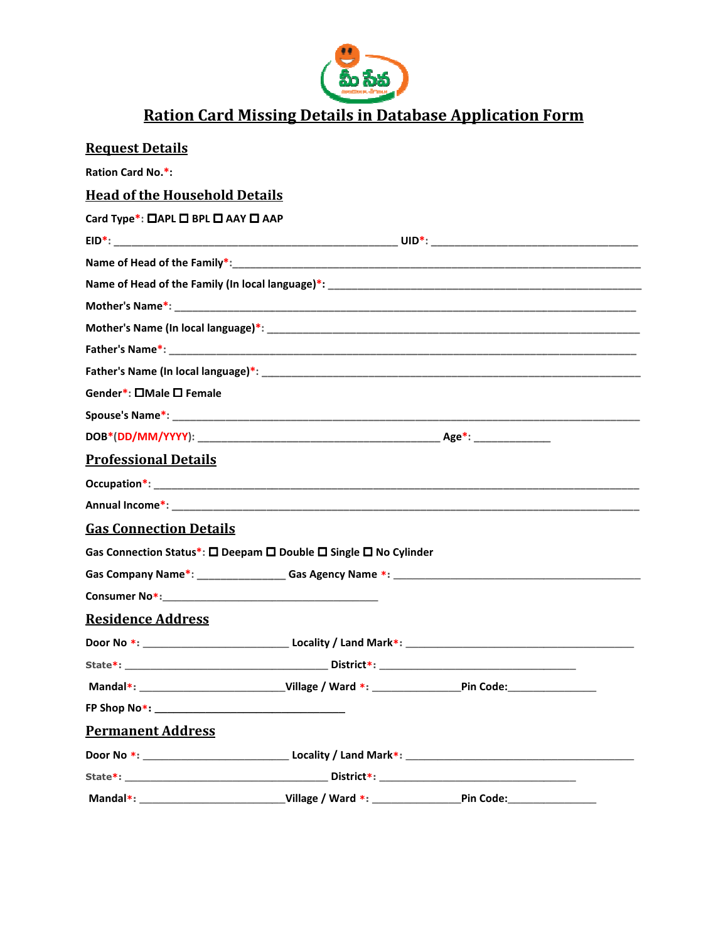

## **Ration Card Missing Details in Database Application Form**

| <u>Request Details</u>               |                                                                  |  |
|--------------------------------------|------------------------------------------------------------------|--|
| <b>Ration Card No.*:</b>             |                                                                  |  |
| <b>Head of the Household Details</b> |                                                                  |  |
| Card Type*: □APL □ BPL □ AAY □ AAP   |                                                                  |  |
|                                      |                                                                  |  |
|                                      |                                                                  |  |
|                                      |                                                                  |  |
|                                      |                                                                  |  |
|                                      |                                                                  |  |
|                                      |                                                                  |  |
|                                      |                                                                  |  |
| Gender*: □Male □ Female              |                                                                  |  |
|                                      |                                                                  |  |
|                                      |                                                                  |  |
| <b>Professional Details</b>          |                                                                  |  |
|                                      |                                                                  |  |
|                                      |                                                                  |  |
| <b>Gas Connection Details</b>        |                                                                  |  |
|                                      | Gas Connection Status*: □ Deepam □ Double □ Single □ No Cylinder |  |
|                                      |                                                                  |  |
|                                      |                                                                  |  |
| <b>Residence Address</b>             |                                                                  |  |
|                                      |                                                                  |  |
|                                      |                                                                  |  |
|                                      |                                                                  |  |
|                                      |                                                                  |  |
| <b>Permanent Address</b>             |                                                                  |  |
|                                      |                                                                  |  |
|                                      |                                                                  |  |
|                                      |                                                                  |  |